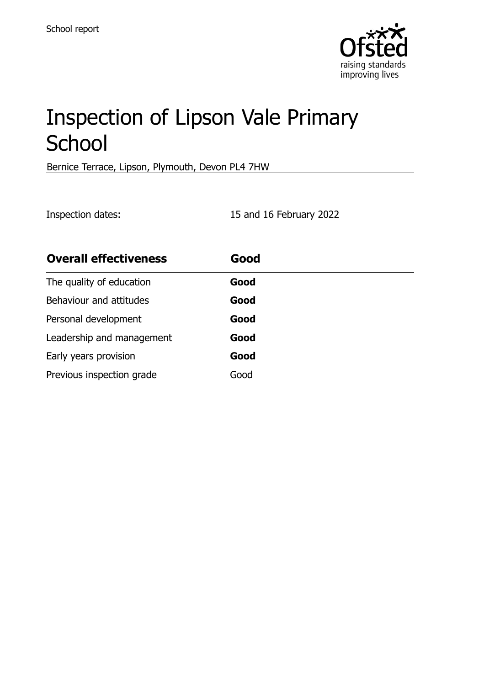

# Inspection of Lipson Vale Primary **School**

Bernice Terrace, Lipson, Plymouth, Devon PL4 7HW

Inspection dates: 15 and 16 February 2022

| <b>Overall effectiveness</b> | Good |
|------------------------------|------|
| The quality of education     | Good |
| Behaviour and attitudes      | Good |
| Personal development         | Good |
| Leadership and management    | Good |
| Early years provision        | Good |
| Previous inspection grade    | Good |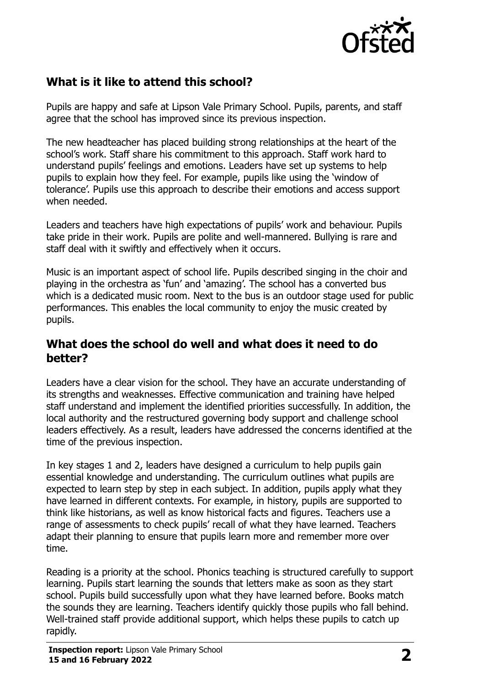

# **What is it like to attend this school?**

Pupils are happy and safe at Lipson Vale Primary School. Pupils, parents, and staff agree that the school has improved since its previous inspection.

The new headteacher has placed building strong relationships at the heart of the school's work. Staff share his commitment to this approach. Staff work hard to understand pupils' feelings and emotions. Leaders have set up systems to help pupils to explain how they feel. For example, pupils like using the 'window of tolerance'. Pupils use this approach to describe their emotions and access support when needed.

Leaders and teachers have high expectations of pupils' work and behaviour. Pupils take pride in their work. Pupils are polite and well-mannered. Bullying is rare and staff deal with it swiftly and effectively when it occurs.

Music is an important aspect of school life. Pupils described singing in the choir and playing in the orchestra as 'fun' and 'amazing'. The school has a converted bus which is a dedicated music room. Next to the bus is an outdoor stage used for public performances. This enables the local community to enjoy the music created by pupils.

#### **What does the school do well and what does it need to do better?**

Leaders have a clear vision for the school. They have an accurate understanding of its strengths and weaknesses. Effective communication and training have helped staff understand and implement the identified priorities successfully. In addition, the local authority and the restructured governing body support and challenge school leaders effectively. As a result, leaders have addressed the concerns identified at the time of the previous inspection.

In key stages 1 and 2, leaders have designed a curriculum to help pupils gain essential knowledge and understanding. The curriculum outlines what pupils are expected to learn step by step in each subject. In addition, pupils apply what they have learned in different contexts. For example, in history, pupils are supported to think like historians, as well as know historical facts and figures. Teachers use a range of assessments to check pupils' recall of what they have learned. Teachers adapt their planning to ensure that pupils learn more and remember more over time.

Reading is a priority at the school. Phonics teaching is structured carefully to support learning. Pupils start learning the sounds that letters make as soon as they start school. Pupils build successfully upon what they have learned before. Books match the sounds they are learning. Teachers identify quickly those pupils who fall behind. Well-trained staff provide additional support, which helps these pupils to catch up rapidly.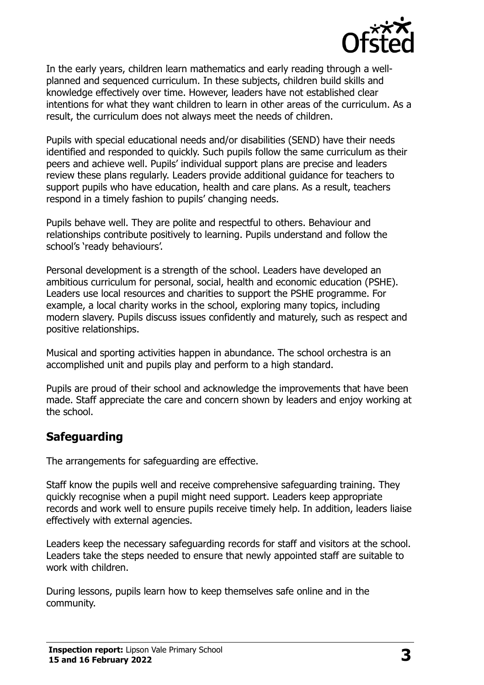

In the early years, children learn mathematics and early reading through a wellplanned and sequenced curriculum. In these subjects, children build skills and knowledge effectively over time. However, leaders have not established clear intentions for what they want children to learn in other areas of the curriculum. As a result, the curriculum does not always meet the needs of children.

Pupils with special educational needs and/or disabilities (SEND) have their needs identified and responded to quickly. Such pupils follow the same curriculum as their peers and achieve well. Pupils' individual support plans are precise and leaders review these plans regularly. Leaders provide additional guidance for teachers to support pupils who have education, health and care plans. As a result, teachers respond in a timely fashion to pupils' changing needs.

Pupils behave well. They are polite and respectful to others. Behaviour and relationships contribute positively to learning. Pupils understand and follow the school's 'ready behaviours'.

Personal development is a strength of the school. Leaders have developed an ambitious curriculum for personal, social, health and economic education (PSHE). Leaders use local resources and charities to support the PSHE programme. For example, a local charity works in the school, exploring many topics, including modern slavery. Pupils discuss issues confidently and maturely, such as respect and positive relationships.

Musical and sporting activities happen in abundance. The school orchestra is an accomplished unit and pupils play and perform to a high standard.

Pupils are proud of their school and acknowledge the improvements that have been made. Staff appreciate the care and concern shown by leaders and enjoy working at the school.

# **Safeguarding**

The arrangements for safeguarding are effective.

Staff know the pupils well and receive comprehensive safeguarding training. They quickly recognise when a pupil might need support. Leaders keep appropriate records and work well to ensure pupils receive timely help. In addition, leaders liaise effectively with external agencies.

Leaders keep the necessary safeguarding records for staff and visitors at the school. Leaders take the steps needed to ensure that newly appointed staff are suitable to work with children.

During lessons, pupils learn how to keep themselves safe online and in the community.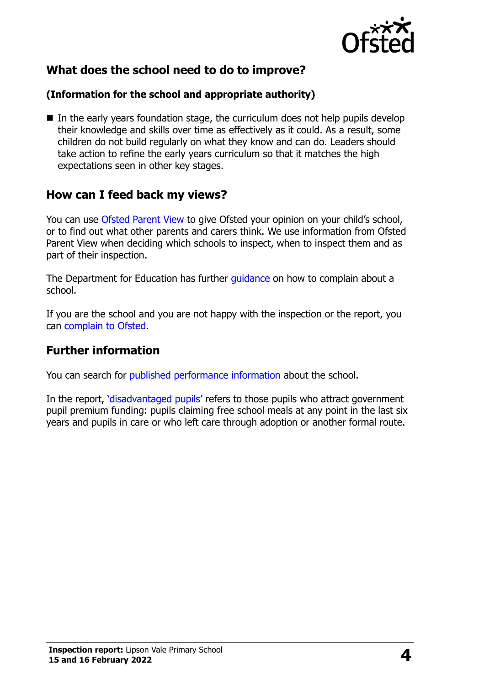

# **What does the school need to do to improve?**

#### **(Information for the school and appropriate authority)**

 $\blacksquare$  In the early years foundation stage, the curriculum does not help pupils develop their knowledge and skills over time as effectively as it could. As a result, some children do not build regularly on what they know and can do. Leaders should take action to refine the early years curriculum so that it matches the high expectations seen in other key stages.

### **How can I feed back my views?**

You can use [Ofsted Parent View](http://parentview.ofsted.gov.uk/) to give Ofsted your opinion on your child's school, or to find out what other parents and carers think. We use information from Ofsted Parent View when deciding which schools to inspect, when to inspect them and as part of their inspection.

The Department for Education has further quidance on how to complain about a school.

If you are the school and you are not happy with the inspection or the report, you can [complain to Ofsted.](http://www.gov.uk/complain-ofsted-report)

### **Further information**

You can search for [published performance information](http://www.compare-school-performance.service.gov.uk/) about the school.

In the report, '[disadvantaged pupils](http://www.gov.uk/guidance/pupil-premium-information-for-schools-and-alternative-provision-settings)' refers to those pupils who attract government pupil premium funding: pupils claiming free school meals at any point in the last six years and pupils in care or who left care through adoption or another formal route.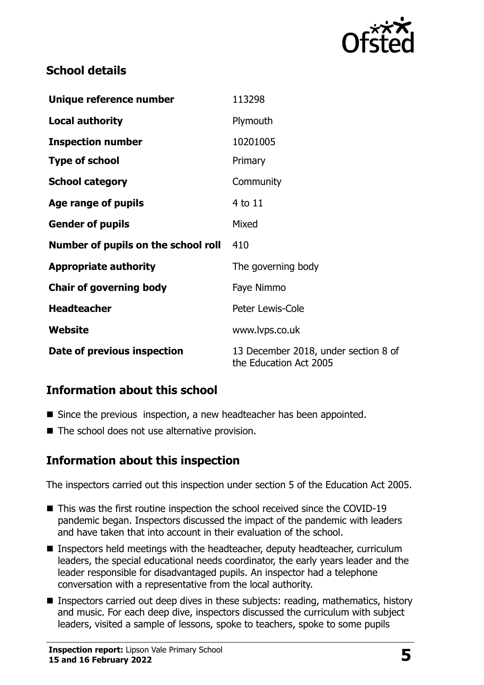

# **School details**

| Unique reference number             | 113298                                                         |
|-------------------------------------|----------------------------------------------------------------|
| <b>Local authority</b>              | Plymouth                                                       |
| <b>Inspection number</b>            | 10201005                                                       |
| <b>Type of school</b>               | Primary                                                        |
| <b>School category</b>              | Community                                                      |
| Age range of pupils                 | 4 to 11                                                        |
| <b>Gender of pupils</b>             | Mixed                                                          |
| Number of pupils on the school roll | 410                                                            |
| <b>Appropriate authority</b>        | The governing body                                             |
| <b>Chair of governing body</b>      | Faye Nimmo                                                     |
| <b>Headteacher</b>                  | Peter Lewis-Cole                                               |
| Website                             | www.lvps.co.uk                                                 |
| Date of previous inspection         | 13 December 2018, under section 8 of<br>the Education Act 2005 |

# **Information about this school**

- Since the previous inspection, a new headteacher has been appointed.
- The school does not use alternative provision.

### **Information about this inspection**

The inspectors carried out this inspection under section 5 of the Education Act 2005.

- This was the first routine inspection the school received since the COVID-19 pandemic began. Inspectors discussed the impact of the pandemic with leaders and have taken that into account in their evaluation of the school.
- Inspectors held meetings with the headteacher, deputy headteacher, curriculum leaders, the special educational needs coordinator, the early years leader and the leader responsible for disadvantaged pupils. An inspector had a telephone conversation with a representative from the local authority.
- **Inspectors carried out deep dives in these subjects: reading, mathematics, history** and music. For each deep dive, inspectors discussed the curriculum with subject leaders, visited a sample of lessons, spoke to teachers, spoke to some pupils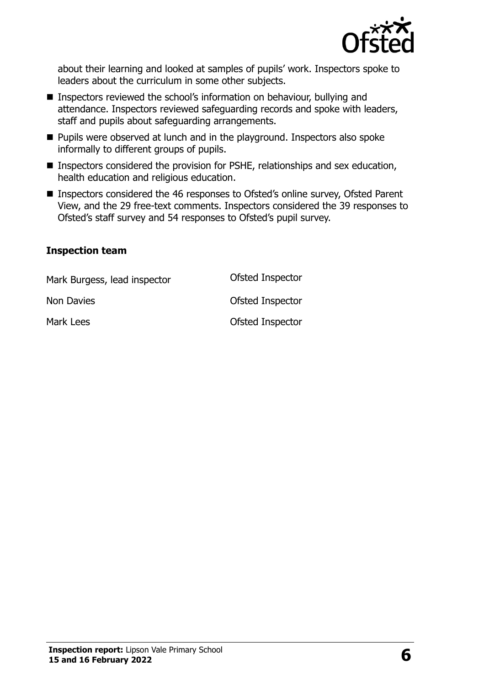

about their learning and looked at samples of pupils' work. Inspectors spoke to leaders about the curriculum in some other subjects.

- Inspectors reviewed the school's information on behaviour, bullying and attendance. Inspectors reviewed safeguarding records and spoke with leaders, staff and pupils about safeguarding arrangements.
- **Pupils were observed at lunch and in the playground. Inspectors also spoke** informally to different groups of pupils.
- **Inspectors considered the provision for PSHE, relationships and sex education,** health education and religious education.
- Inspectors considered the 46 responses to Ofsted's online survey, Ofsted Parent View, and the 29 free-text comments. Inspectors considered the 39 responses to Ofsted's staff survey and 54 responses to Ofsted's pupil survey.

#### **Inspection team**

| Mark Burgess, lead inspector | Ofsted Inspector |
|------------------------------|------------------|
| Non Davies                   | Ofsted Inspector |
| Mark Lees                    | Ofsted Inspector |